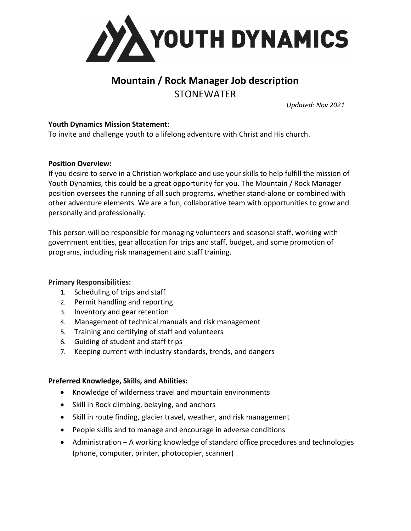

# **Mountain / Rock Manager Job description STONEWATER**

*Updated: Nov 2021*

## **Youth Dynamics Mission Statement:**

To invite and challenge youth to a lifelong adventure with Christ and His church.

## **Position Overview:**

If you desire to serve in a Christian workplace and use your skills to help fulfill the mission of Youth Dynamics, this could be a great opportunity for you. The Mountain / Rock Manager position oversees the running of all such programs, whether stand-alone or combined with other adventure elements. We are a fun, collaborative team with opportunities to grow and personally and professionally.

This person will be responsible for managing volunteers and seasonal staff, working with government entities, gear allocation for trips and staff, budget, and some promotion of programs, including risk management and staff training.

#### **Primary Responsibilities:**

- 1. Scheduling of trips and staff
- 2. Permit handling and reporting
- 3. Inventory and gear retention
- 4. Management of technical manuals and risk management
- 5. Training and certifying of staff and volunteers
- 6. Guiding of student and staff trips
- 7. Keeping current with industry standards, trends, and dangers

#### **Preferred Knowledge, Skills, and Abilities:**

- Knowledge of wilderness travel and mountain environments
- Skill in Rock climbing, belaying, and anchors
- Skill in route finding, glacier travel, weather, and risk management
- People skills and to manage and encourage in adverse conditions
- Administration A working knowledge of standard office procedures and technologies (phone, computer, printer, photocopier, scanner)